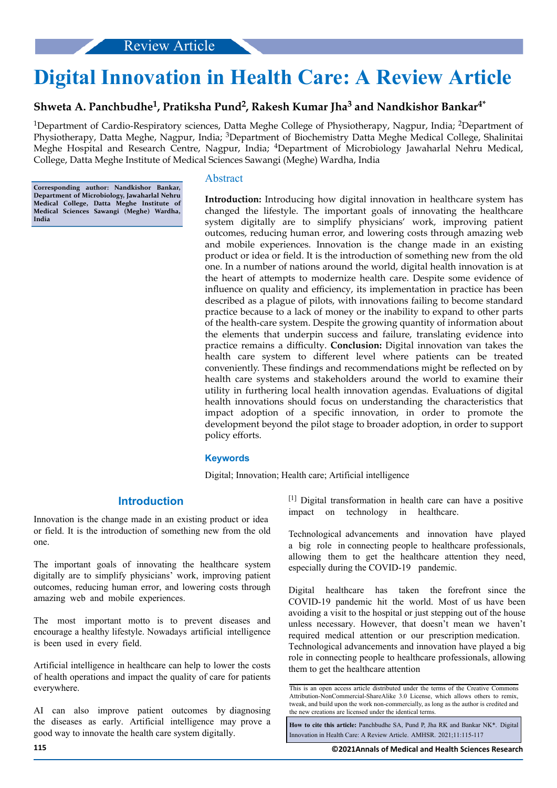# **Digital Innovation in Health Care: A Review Article**

# **Shweta A. Panchbudhe<sup>1</sup> , Pratiksha Pund<sup>2</sup> , Rakesh Kumar Jha<sup>3</sup> and Nandkishor Bankar4\***

<sup>1</sup>Department of Cardio-Respiratory sciences, Datta Meghe College of Physiotherapy, Nagpur, India; <sup>2</sup>Department of Physiotherapy, Datta Meghe, Nagpur, India; 3Department of Biochemistry Datta Meghe Medical College, Shalinitai Meghe Hospital and Research Centre, Nagpur, India; 4Department of Microbiology Jawaharlal Nehru Medical, College, Datta Meghe Institute of Medical Sciences Sawangi (Meghe) Wardha, India

**Corresponding author: Nandkishor Bankar, Department of Microbiology, Jawaharlal Nehru Medical College, Datta Meghe Institute of Medical Sciences Sawangi (Meghe) Wardha, India**

### Abstract

**Introduction:** Introducing how digital innovation in healthcare system has changed the lifestyle. The important goals of innovating the healthcare system digitally are to simplify physicians' work, improving patient outcomes, reducing human error, and lowering costs through amazing web and mobile experiences. Innovation is the change made in an existing product or idea or field. It is the introduction of something new from the old one. In a number of nations around the world, digital health innovation is at the heart of attempts to modernize health care. Despite some evidence of influence on quality and efficiency, its implementation in practice has been described as a plague of pilots, with innovations failing to become standard practice because to a lack of money or the inability to expand to other parts of the health-care system. Despite the growing quantity of information about the elements that underpin success and failure, translating evidence into practice remains a difficulty. **Conclusion:** Digital innovation van takes the health care system to different level where patients can be treated conveniently. These findings and recommendations might be reflected on by health care systems and stakeholders around the world to examine their utility in furthering local health innovation agendas. Evaluations of digital health innovations should focus on understanding the characteristics that impact adoption of a specfic innovation, in order to promote the development beyond the pilot stage to broader adoption, in order to support policy efforts.

#### **Keywords**

Digital; Innovation; Health care; Artificial intelligence

# **Introduction**

Innovation is the change made in an existing product or idea or field. It is the introduction of something new from the old one.

The important goals of innovating the healthcare system digitally are to simplify physicians' work, improving patient outcomes, reducing human error, and lowering costs through amazing web and mobile experiences.

The most important motto is to prevent diseases and encourage a healthy lifestyle. Nowadays artificial intelligence is been used in every field.

Artificial intelligence in healthcare can help to lower the costs of health operations and impact the quality of care for patients everywhere.

AI can also improve patient outcomes by diagnosing the diseases as early. Artificial intelligence may prove a good way to innovate the health care system digitally.

[1] Digital transformation in health care can have a positive impact on technology in healthcare.

Technological advancements and innovation have played a big role in connecting people to healthcare professionals, allowing them to get the healthcare attention they need, especially during the COVID-19 pandemic.

Digital healthcare has taken the forefront since the COVID-19 pandemic hit the world. Most of us have been avoiding a visit to the hospital or just stepping out of the house unless necessary. However, that doesn't mean we haven't required medical attention or our prescription medication. Technological advancements and innovation have played a big role in connecting people to healthcare professionals, allowing them to get the healthcare attention

This is an open access article distributed under the terms of the Creative Commons Attribution-NonCommercial-ShareAlike 3.0 License, which allows others to remix, tweak, and build upon the work non‑commercially, as long as the author is credited and the new creations are licensed under the identical terms.

**How to cite this article:** Panchbudhe SA, Pund P, Jha RK and Bankar NK\*. Digital Innovation in Health Care: A Review Article. AMHSR. 2021;11:115-117

**115 ©2021Annals of Medical and Health Sciences Research**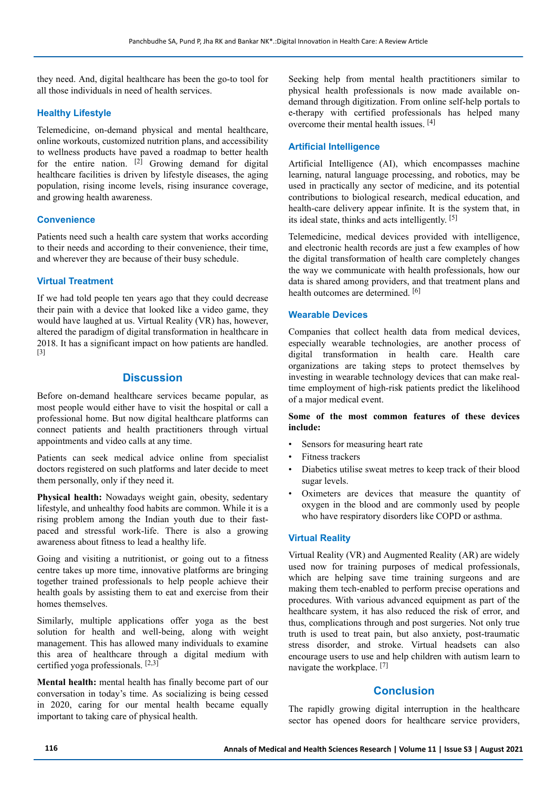they need. And, digital healthcare has been the go-to tool for all those individuals in need of health services.

#### **Healthy Lifestyle**

Telemedicine, on-demand physical and mental healthcare, online workouts, customized nutrition plans, and accessibility to wellness products have paved a roadmap to better health for the entire nation.  $[2]$  Growing demand for digital healthcare facilities is driven by lifestyle diseases, the aging population, rising income levels, rising insurance coverage, and growing health awareness.

# **Convenience**

Patients need such a health care system that works according to their needs and according to their convenience, their time, and wherever they are because of their busy schedule.

## **Virtual Treatment**

If we had told people ten years ago that they could decrease their pain with a device that looked like a video game, they would have laughed at us. Virtual Reality (VR) has, however, altered the paradigm of digital transformation in healthcare in 2018. It has a significant impact on how patients are handled. [3]

### **Discussion**

Before on-demand healthcare services became popular, as most people would either have to visit the hospital or call a professional home. But now digital healthcare platforms can connect patients and health practitioners through virtual appointments and video calls at any time.

Patients can seek medical advice online from specialist doctors registered on such platforms and later decide to meet them personally, only if they need it.

**Physical health:** Nowadays weight gain, obesity, sedentary lifestyle, and unhealthy food habits are common. While it is a rising problem among the Indian youth due to their fastpaced and stressful work-life. There is also a growing awareness about fitness to lead a healthy life.

Going and visiting a nutritionist, or going out to a fitness centre takes up more time, innovative platforms are bringing together trained professionals to help people achieve their health goals by assisting them to eat and exercise from their homes themselves.

Similarly, multiple applications offer yoga as the best solution for health and well-being, along with weight management. This has allowed many individuals to examine this area of healthcare through a digital medium with certified yoga professionals.  $[2,3]$ 

**Mental health:** mental health has finally become part of our conversation in today's time. As socializing is being cessed in 2020, caring for our mental health became equally important to taking care of physical health.

Seeking help from mental health practitioners similar to physical health professionals is now made available ondemand through digitization. From online self-help portals to e-therapy with certified professionals has helped many overcome their mental health issues. [4]

#### **Artificial Intelligence**

Artificial Intelligence (AI), which encompasses machine learning, natural language processing, and robotics, may be used in practically any sector of medicine, and its potential contributions to biological research, medical education, and health-care delivery appear infinite. It is the system that, in its ideal state, thinks and acts intelligently. [5]

Telemedicine, medical devices provided with intelligence, and electronic health records are just a few examples of how the digital transformation of health care completely changes the way we communicate with health professionals, how our data is shared among providers, and that treatment plans and health outcomes are determined. [6]

#### **Wearable Devices**

Companies that collect health data from medical devices, especially wearable technologies, are another process of digital transformation in health care. Health care organizations are taking steps to protect themselves by investing in wearable technology devices that can make realtime employment of high-risk patients predict the likelihood of a major medical event.

#### **Some of the most common features of these devices include:**

- Sensors for measuring heart rate
- Fitness trackers
- Diabetics utilise sweat metres to keep track of their blood sugar levels.
- Oximeters are devices that measure the quantity of oxygen in the blood and are commonly used by people who have respiratory disorders like COPD or asthma.

#### **Virtual Reality**

Virtual Reality (VR) and Augmented Reality (AR) are widely used now for training purposes of medical professionals, which are helping save time training surgeons and are making them tech-enabled to perform precise operations and procedures. With various advanced equipment as part of the healthcare system, it has also reduced the risk of error, and thus, complications through and post surgeries. Not only true truth is used to treat pain, but also anxiety, post-traumatic stress disorder, and stroke. Virtual headsets can also encourage users to use and help children with autism learn to navigate the workplace. [7]

## **Conclusion**

The rapidly growing digital interruption in the healthcare sector has opened doors for healthcare service providers,